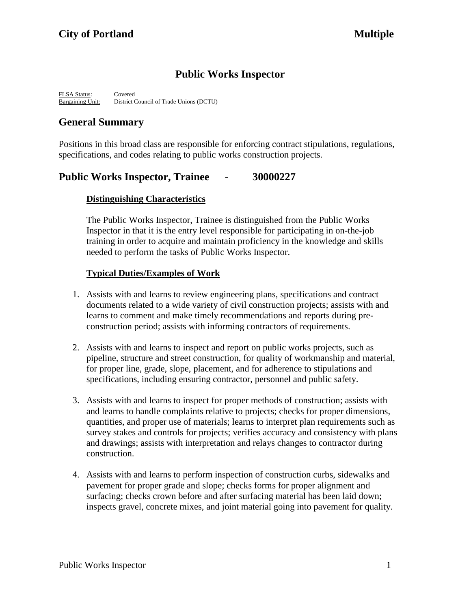# **Public Works Inspector**

FLSA Status: Covered Bargaining Unit: District Council of Trade Unions (DCTU)

# **General Summary**

Positions in this broad class are responsible for enforcing contract stipulations, regulations, specifications, and codes relating to public works construction projects.

# **Public Works Inspector, Trainee - 30000227**

# **Distinguishing Characteristics**

The Public Works Inspector, Trainee is distinguished from the Public Works Inspector in that it is the entry level responsible for participating in on-the-job training in order to acquire and maintain proficiency in the knowledge and skills needed to perform the tasks of Public Works Inspector.

## **Typical Duties/Examples of Work**

- 1. Assists with and learns to review engineering plans, specifications and contract documents related to a wide variety of civil construction projects; assists with and learns to comment and make timely recommendations and reports during preconstruction period; assists with informing contractors of requirements.
- 2. Assists with and learns to inspect and report on public works projects, such as pipeline, structure and street construction, for quality of workmanship and material, for proper line, grade, slope, placement, and for adherence to stipulations and specifications, including ensuring contractor, personnel and public safety.
- 3. Assists with and learns to inspect for proper methods of construction; assists with and learns to handle complaints relative to projects; checks for proper dimensions, quantities, and proper use of materials; learns to interpret plan requirements such as survey stakes and controls for projects; verifies accuracy and consistency with plans and drawings; assists with interpretation and relays changes to contractor during construction.
- 4. Assists with and learns to perform inspection of construction curbs, sidewalks and pavement for proper grade and slope; checks forms for proper alignment and surfacing; checks crown before and after surfacing material has been laid down; inspects gravel, concrete mixes, and joint material going into pavement for quality.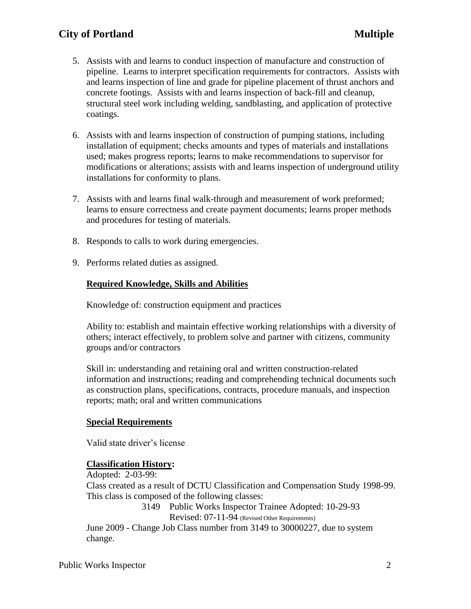# **City of Portland Multiple**

- 5. Assists with and learns to conduct inspection of manufacture and construction of pipeline. Learns to interpret specification requirements for contractors. Assists with and learns inspection of line and grade for pipeline placement of thrust anchors and concrete footings. Assists with and learns inspection of back-fill and cleanup, structural steel work including welding, sandblasting, and application of protective coatings.
- 6. Assists with and learns inspection of construction of pumping stations, including installation of equipment; checks amounts and types of materials and installations used; makes progress reports; learns to make recommendations to supervisor for modifications or alterations; assists with and learns inspection of underground utility installations for conformity to plans.
- 7. Assists with and learns final walk-through and measurement of work preformed; learns to ensure correctness and create payment documents; learns proper methods and procedures for testing of materials.
- 8. Responds to calls to work during emergencies.
- 9. Performs related duties as assigned.

### **Required Knowledge, Skills and Abilities**

Knowledge of: construction equipment and practices

Ability to: establish and maintain effective working relationships with a diversity of others; interact effectively, to problem solve and partner with citizens, community groups and/or contractors

Skill in: understanding and retaining oral and written construction-related information and instructions; reading and comprehending technical documents such as construction plans, specifications, contracts, procedure manuals, and inspection reports; math; oral and written communications

### **Special Requirements**

Valid state driver's license

#### **Classification History:**

Adopted: 2-03-99:

Class created as a result of DCTU Classification and Compensation Study 1998-99. This class is composed of the following classes:

> 3149 Public Works Inspector Trainee Adopted: 10-29-93 Revised: 07-11-94 (Revised Other Requirements)

June 2009 - Change Job Class number from 3149 to 30000227, due to system change.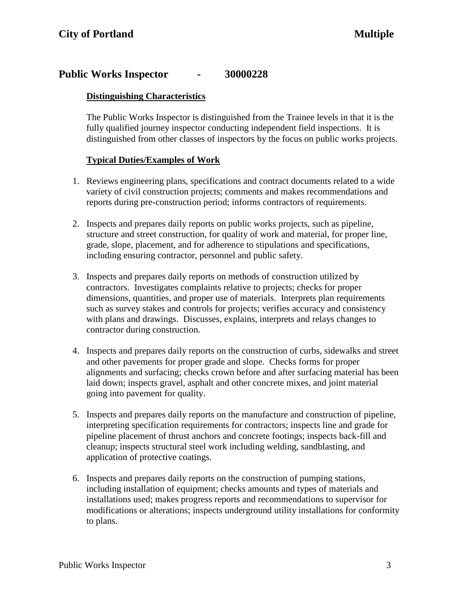# **Public Works Inspector - 30000228**

### **Distinguishing Characteristics**

The Public Works Inspector is distinguished from the Trainee levels in that it is the fully qualified journey inspector conducting independent field inspections. It is distinguished from other classes of inspectors by the focus on public works projects.

### **Typical Duties/Examples of Work**

- 1. Reviews engineering plans, specifications and contract documents related to a wide variety of civil construction projects; comments and makes recommendations and reports during pre-construction period; informs contractors of requirements.
- 2. Inspects and prepares daily reports on public works projects, such as pipeline, structure and street construction, for quality of work and material, for proper line, grade, slope, placement, and for adherence to stipulations and specifications, including ensuring contractor, personnel and public safety.
- 3. Inspects and prepares daily reports on methods of construction utilized by contractors. Investigates complaints relative to projects; checks for proper dimensions, quantities, and proper use of materials. Interprets plan requirements such as survey stakes and controls for projects; verifies accuracy and consistency with plans and drawings. Discusses, explains, interprets and relays changes to contractor during construction.
- 4. Inspects and prepares daily reports on the construction of curbs, sidewalks and street and other pavements for proper grade and slope. Checks forms for proper alignments and surfacing; checks crown before and after surfacing material has been laid down; inspects gravel, asphalt and other concrete mixes, and joint material going into pavement for quality.
- 5. Inspects and prepares daily reports on the manufacture and construction of pipeline, interpreting specification requirements for contractors; inspects line and grade for pipeline placement of thrust anchors and concrete footings; inspects back-fill and cleanup; inspects structural steel work including welding, sandblasting, and application of protective coatings.
- 6. Inspects and prepares daily reports on the construction of pumping stations, including installation of equipment; checks amounts and types of materials and installations used; makes progress reports and recommendations to supervisor for modifications or alterations; inspects underground utility installations for conformity to plans.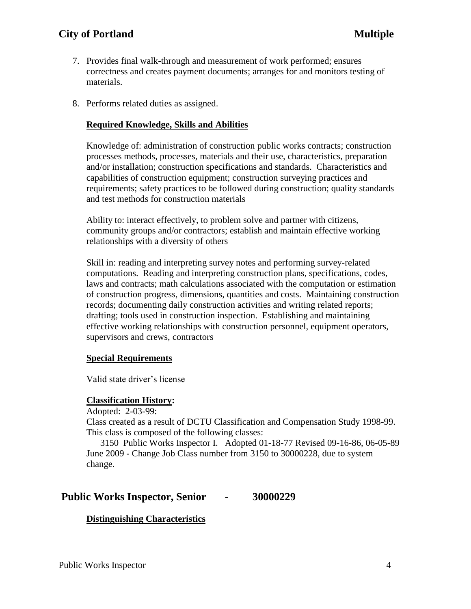# **City of Portland Multiple**

- 7. Provides final walk-through and measurement of work performed; ensures correctness and creates payment documents; arranges for and monitors testing of materials.
- 8. Performs related duties as assigned.

#### **Required Knowledge, Skills and Abilities**

Knowledge of: administration of construction public works contracts; construction processes methods, processes, materials and their use, characteristics, preparation and/or installation; construction specifications and standards. Characteristics and capabilities of construction equipment; construction surveying practices and requirements; safety practices to be followed during construction; quality standards and test methods for construction materials

Ability to: interact effectively, to problem solve and partner with citizens, community groups and/or contractors; establish and maintain effective working relationships with a diversity of others

 Skill in: reading and interpreting survey notes and performing survey-related computations. Reading and interpreting construction plans, specifications, codes, laws and contracts; math calculations associated with the computation or estimation of construction progress, dimensions, quantities and costs. Maintaining construction records; documenting daily construction activities and writing related reports; drafting; tools used in construction inspection. Establishing and maintaining effective working relationships with construction personnel, equipment operators, supervisors and crews, contractors

#### **Special Requirements**

Valid state driver's license

#### **Classification History:**

Adopted: 2-03-99:

Class created as a result of DCTU Classification and Compensation Study 1998-99. This class is composed of the following classes:

3150 Public Works Inspector I. Adopted 01-18-77 Revised 09-16-86, 06-05-89 June 2009 - Change Job Class number from 3150 to 30000228, due to system change.

### **Public Works Inspector, Senior - 30000229**

#### **Distinguishing Characteristics**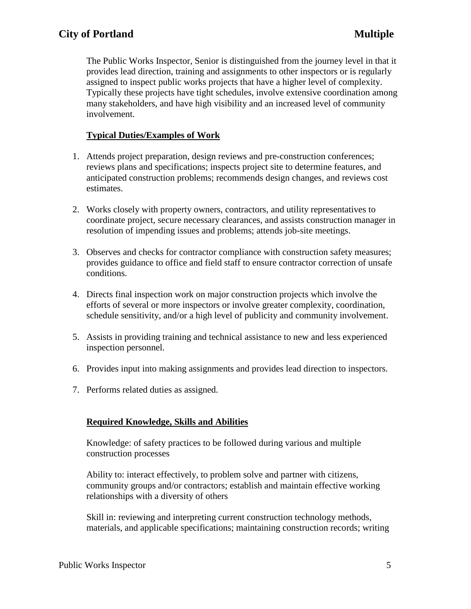The Public Works Inspector, Senior is distinguished from the journey level in that it provides lead direction, training and assignments to other inspectors or is regularly assigned to inspect public works projects that have a higher level of complexity. Typically these projects have tight schedules, involve extensive coordination among many stakeholders, and have high visibility and an increased level of community involvement.

### **Typical Duties/Examples of Work**

- 1. Attends project preparation, design reviews and pre-construction conferences; reviews plans and specifications; inspects project site to determine features, and anticipated construction problems; recommends design changes, and reviews cost estimates.
- 2. Works closely with property owners, contractors, and utility representatives to coordinate project, secure necessary clearances, and assists construction manager in resolution of impending issues and problems; attends job-site meetings.
- 3. Observes and checks for contractor compliance with construction safety measures; provides guidance to office and field staff to ensure contractor correction of unsafe conditions.
- 4. Directs final inspection work on major construction projects which involve the efforts of several or more inspectors or involve greater complexity, coordination, schedule sensitivity, and/or a high level of publicity and community involvement.
- 5. Assists in providing training and technical assistance to new and less experienced inspection personnel.
- 6. Provides input into making assignments and provides lead direction to inspectors.
- 7. Performs related duties as assigned.

### **Required Knowledge, Skills and Abilities**

 Knowledge: of safety practices to be followed during various and multiple construction processes

 Ability to: interact effectively, to problem solve and partner with citizens, community groups and/or contractors; establish and maintain effective working relationships with a diversity of others

Skill in: reviewing and interpreting current construction technology methods, materials, and applicable specifications; maintaining construction records; writing